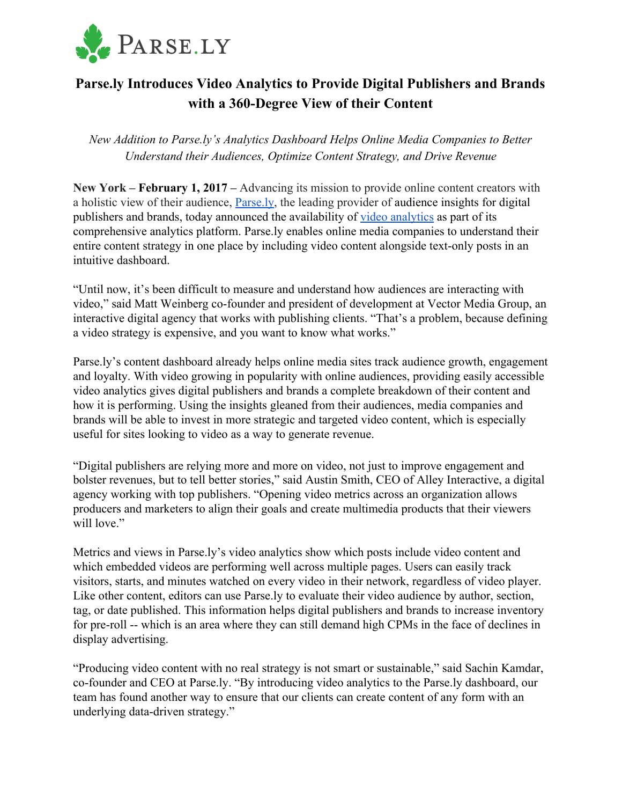

## **Parse.ly Introduces Video Analytics to Provide Digital Publishers and Brands with a 360-Degree View of their Content**

*New Addition to Parse.ly's Analytics Dashboard Helps Online Media Companies to Better Understand their Audiences, Optimize Content Strategy, and Drive Revenue*

**New York – February 1, 2017 –** Advancing its mission to provide online content creators with a holistic view of their audience, [Parse.ly,](http://www.parsely.com/) the leading provider of audience insights for digital publishers and brands, today announced the availability of [video analytics](https://www.parsely.com/video-analytics/) as part of its comprehensive analytics platform. Parse.ly enables online media companies to understand their entire content strategy in one place by including video content alongside text-only posts in an intuitive dashboard.

"Until now, it's been difficult to measure and understand how audiences are interacting with video," said Matt Weinberg co-founder and president of development at Vector Media Group, an interactive digital agency that works with publishing clients. "That's a problem, because defining a video strategy is expensive, and you want to know what works."

Parse.ly's content dashboard already helps online media sites track audience growth, engagement and loyalty. With video growing in popularity with online audiences, providing easily accessible video analytics gives digital publishers and brands a complete breakdown of their content and how it is performing. Using the insights gleaned from their audiences, media companies and brands will be able to invest in more strategic and targeted video content, which is especially useful for sites looking to video as a way to generate revenue.

"Digital publishers are relying more and more on video, not just to improve engagement and bolster revenues, but to tell better stories," said Austin Smith, CEO of Alley Interactive, a digital agency working with top publishers. "Opening video metrics across an organization allows producers and marketers to align their goals and create multimedia products that their viewers will love."

Metrics and views in Parse.ly's video analytics show which posts include video content and which embedded videos are performing well across multiple pages. Users can easily track visitors, starts, and minutes watched on every video in their network, regardless of video player. Like other content, editors can use Parse.ly to evaluate their video audience by author, section, tag, or date published. This information helps digital publishers and brands to increase inventory for pre-roll -- which is an area where they can still demand high CPMs in the face of declines in display advertising.

"Producing video content with no real strategy is not smart or sustainable," said Sachin Kamdar, co-founder and CEO at Parse.ly. "By introducing video analytics to the Parse.ly dashboard, our team has found another way to ensure that our clients can create content of any form with an underlying data-driven strategy."